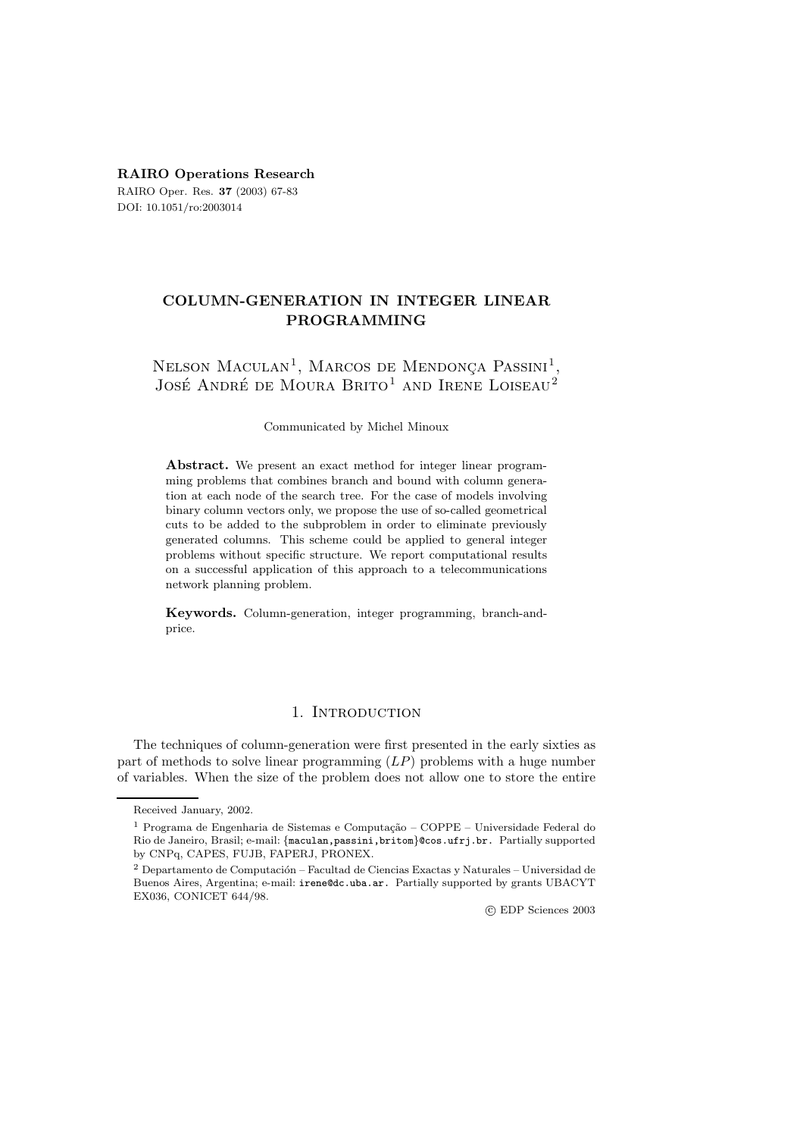**RAIRO Operations Research** RAIRO Oper. Res. **37** (2003) 67-83 DOI: 10.1051/ro:2003014

# **COLUMN-GENERATION IN INTEGER LINEAR PROGRAMMING**

NELSON MACULAN<sup>1</sup>, MARCOS DE MENDONCA PASSINI<sup>1</sup>, JOSÉ ANDRÉ DE MOURA BRITO<sup>1</sup> AND IRENE LOISEAU<sup>2</sup>

### Communicated by Michel Minoux

**Abstract.** We present an exact method for integer linear programming problems that combines branch and bound with column generation at each node of the search tree. For the case of models involving binary column vectors only, we propose the use of so-called geometrical cuts to be added to the subproblem in order to eliminate previously generated columns. This scheme could be applied to general integer problems without specific structure. We report computational results on a successful application of this approach to a telecommunications network planning problem.

**Keywords.** Column-generation, integer programming, branch-andprice.

### 1. INTRODUCTION

The techniques of column-generation were first presented in the early sixties as part of methods to solve linear programming  $(LP)$  problems with a huge number of variables. When the size of the problem does not allow one to store the entire

c EDP Sciences 2003

Received January, 2002.

<sup>&</sup>lt;sup>1</sup> Programa de Engenharia de Sistemas e Computação – COPPE – Universidade Federal do Rio de Janeiro, Brasil; e-mail: {maculan,passini,britom}@cos.ufrj.br. Partially supported by CNPq, CAPES, FUJB, FAPERJ, PRONEX.

 $^2$  Departamento de Computación – Facultad de Ciencias Exactas y Naturales – Universidad de Buenos Aires, Argentina; e-mail: irene@dc.uba.ar. Partially supported by grants UBACYT EX036, CONICET 644/98.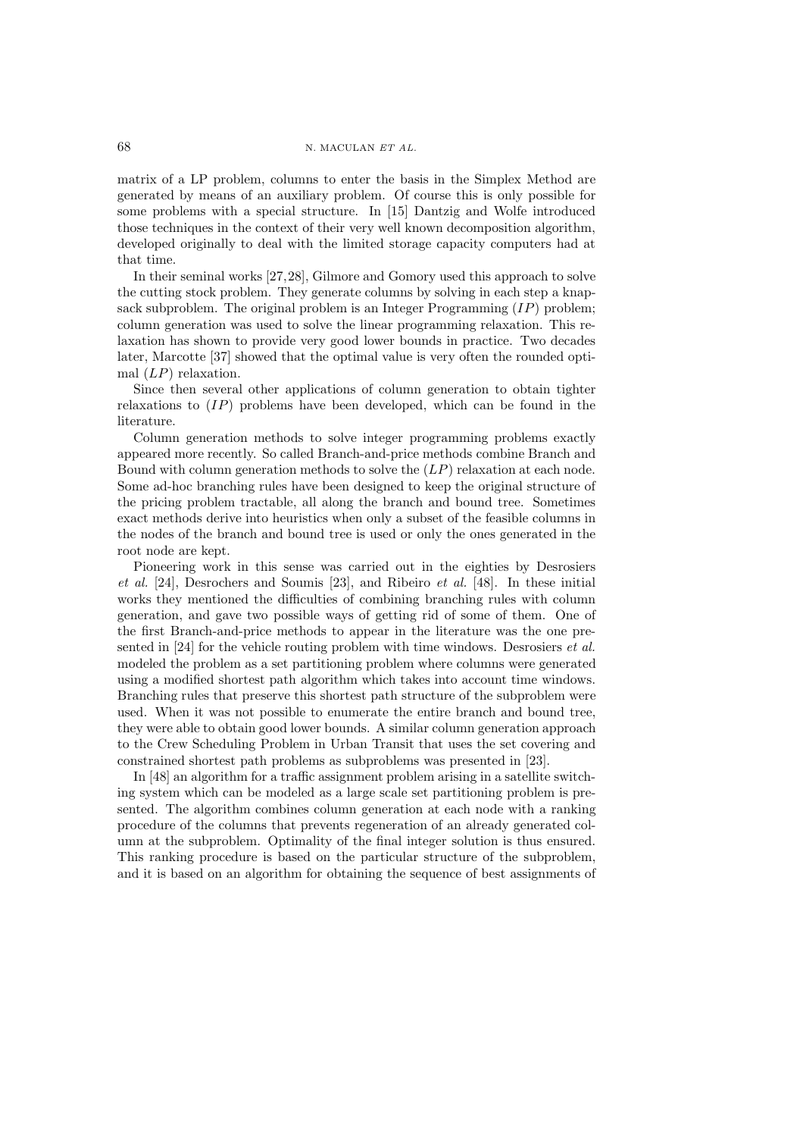matrix of a LP problem, columns to enter the basis in the Simplex Method are generated by means of an auxiliary problem. Of course this is only possible for some problems with a special structure. In [15] Dantzig and Wolfe introduced those techniques in the context of their very well known decomposition algorithm, developed originally to deal with the limited storage capacity computers had at that time.

In their seminal works [27,28], Gilmore and Gomory used this approach to solve the cutting stock problem. They generate columns by solving in each step a knapsack subproblem. The original problem is an Integer Programming  $(IP)$  problem; column generation was used to solve the linear programming relaxation. This relaxation has shown to provide very good lower bounds in practice. Two decades later, Marcotte [37] showed that the optimal value is very often the rounded optimal  $(LP)$  relaxation.

Since then several other applications of column generation to obtain tighter relaxations to  $(IP)$  problems have been developed, which can be found in the literature.

Column generation methods to solve integer programming problems exactly appeared more recently. So called Branch-and-price methods combine Branch and Bound with column generation methods to solve the  $(LP)$  relaxation at each node. Some ad-hoc branching rules have been designed to keep the original structure of the pricing problem tractable, all along the branch and bound tree. Sometimes exact methods derive into heuristics when only a subset of the feasible columns in the nodes of the branch and bound tree is used or only the ones generated in the root node are kept.

Pioneering work in this sense was carried out in the eighties by Desrosiers *et al.* [24], Desrochers and Soumis [23], and Ribeiro *et al.* [48]. In these initial works they mentioned the difficulties of combining branching rules with column generation, and gave two possible ways of getting rid of some of them. One of the first Branch-and-price methods to appear in the literature was the one presented in [24] for the vehicle routing problem with time windows. Desrosiers *et al.* modeled the problem as a set partitioning problem where columns were generated using a modified shortest path algorithm which takes into account time windows. Branching rules that preserve this shortest path structure of the subproblem were used. When it was not possible to enumerate the entire branch and bound tree, they were able to obtain good lower bounds. A similar column generation approach to the Crew Scheduling Problem in Urban Transit that uses the set covering and constrained shortest path problems as subproblems was presented in [23].

In [48] an algorithm for a traffic assignment problem arising in a satellite switching system which can be modeled as a large scale set partitioning problem is presented. The algorithm combines column generation at each node with a ranking procedure of the columns that prevents regeneration of an already generated column at the subproblem. Optimality of the final integer solution is thus ensured. This ranking procedure is based on the particular structure of the subproblem, and it is based on an algorithm for obtaining the sequence of best assignments of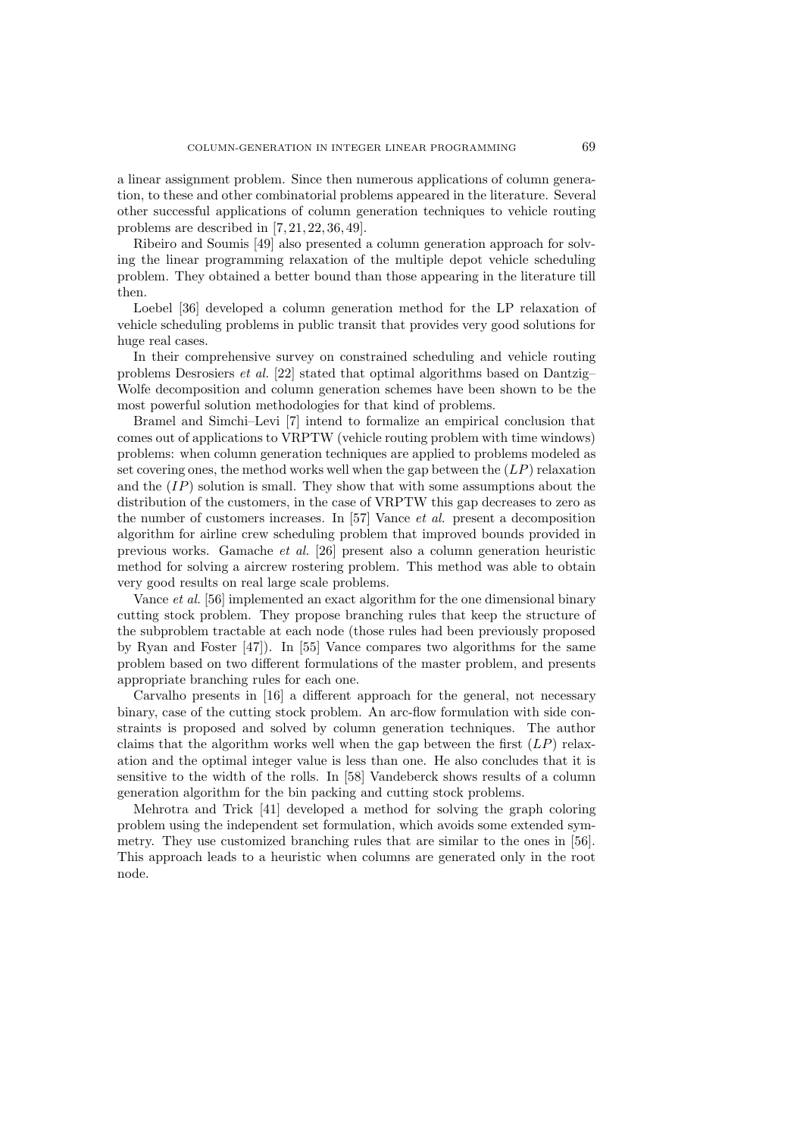a linear assignment problem. Since then numerous applications of column generation, to these and other combinatorial problems appeared in the literature. Several other successful applications of column generation techniques to vehicle routing problems are described in [7, 21, 22, 36, 49].

Ribeiro and Soumis [49] also presented a column generation approach for solving the linear programming relaxation of the multiple depot vehicle scheduling problem. They obtained a better bound than those appearing in the literature till then.

Loebel [36] developed a column generation method for the LP relaxation of vehicle scheduling problems in public transit that provides very good solutions for huge real cases.

In their comprehensive survey on constrained scheduling and vehicle routing problems Desrosiers *et al.* [22] stated that optimal algorithms based on Dantzig– Wolfe decomposition and column generation schemes have been shown to be the most powerful solution methodologies for that kind of problems.

Bramel and Simchi–Levi [7] intend to formalize an empirical conclusion that comes out of applications to VRPTW (vehicle routing problem with time windows) problems: when column generation techniques are applied to problems modeled as set covering ones, the method works well when the gap between the  $(LP)$  relaxation and the  $(IP)$  solution is small. They show that with some assumptions about the distribution of the customers, in the case of VRPTW this gap decreases to zero as the number of customers increases. In [57] Vance *et al.* present a decomposition algorithm for airline crew scheduling problem that improved bounds provided in previous works. Gamache *et al.* [26] present also a column generation heuristic method for solving a aircrew rostering problem. This method was able to obtain very good results on real large scale problems.

Vance *et al.* [56] implemented an exact algorithm for the one dimensional binary cutting stock problem. They propose branching rules that keep the structure of the subproblem tractable at each node (those rules had been previously proposed by Ryan and Foster [47]). In [55] Vance compares two algorithms for the same problem based on two different formulations of the master problem, and presents appropriate branching rules for each one.

Carvalho presents in [16] a different approach for the general, not necessary binary, case of the cutting stock problem. An arc-flow formulation with side constraints is proposed and solved by column generation techniques. The author claims that the algorithm works well when the gap between the first  $(LP)$  relaxation and the optimal integer value is less than one. He also concludes that it is sensitive to the width of the rolls. In [58] Vandeberck shows results of a column generation algorithm for the bin packing and cutting stock problems.

Mehrotra and Trick [41] developed a method for solving the graph coloring problem using the independent set formulation, which avoids some extended symmetry. They use customized branching rules that are similar to the ones in [56]. This approach leads to a heuristic when columns are generated only in the root node.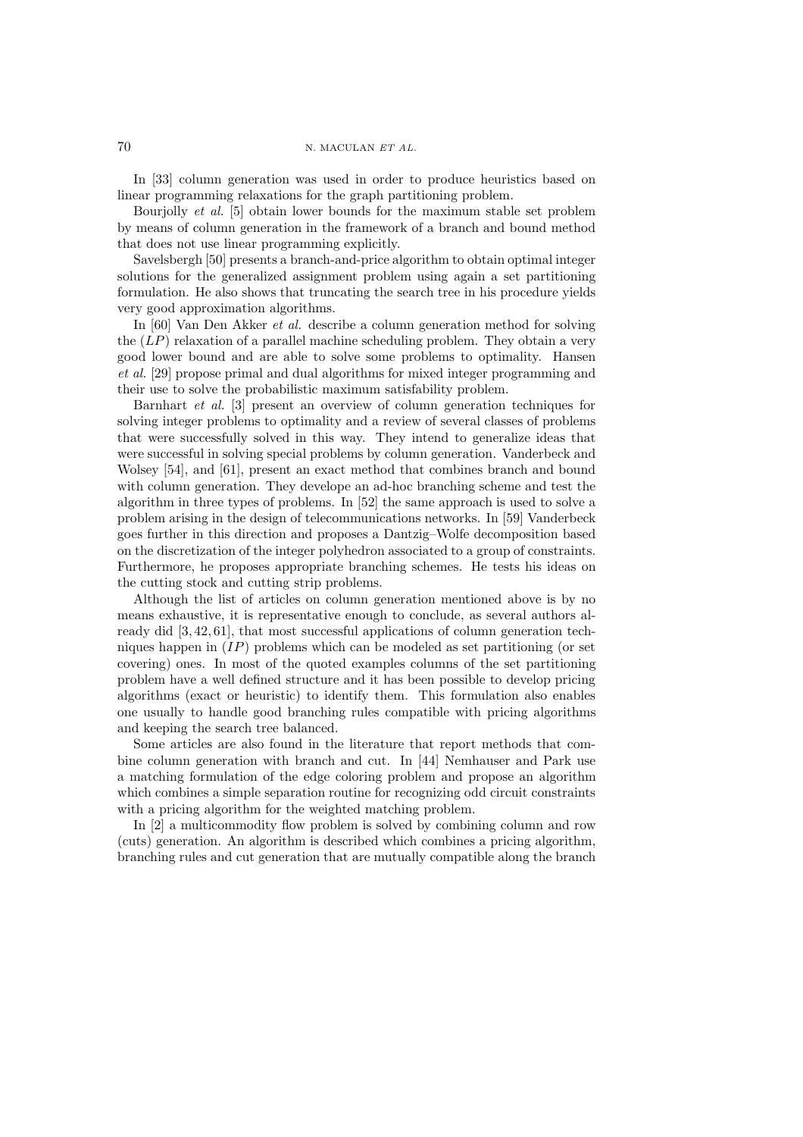In [33] column generation was used in order to produce heuristics based on linear programming relaxations for the graph partitioning problem.

Bourjolly *et al.* [5] obtain lower bounds for the maximum stable set problem by means of column generation in the framework of a branch and bound method that does not use linear programming explicitly.

Savelsbergh [50] presents a branch-and-price algorithm to obtain optimal integer solutions for the generalized assignment problem using again a set partitioning formulation. He also shows that truncating the search tree in his procedure yields very good approximation algorithms.

In [60] Van Den Akker *et al.* describe a column generation method for solving the  $(LP)$  relaxation of a parallel machine scheduling problem. They obtain a very good lower bound and are able to solve some problems to optimality. Hansen *et al.* [29] propose primal and dual algorithms for mixed integer programming and their use to solve the probabilistic maximum satisfability problem.

Barnhart *et al.* [3] present an overview of column generation techniques for solving integer problems to optimality and a review of several classes of problems that were successfully solved in this way. They intend to generalize ideas that were successful in solving special problems by column generation. Vanderbeck and Wolsey [54], and [61], present an exact method that combines branch and bound with column generation. They develope an ad-hoc branching scheme and test the algorithm in three types of problems. In [52] the same approach is used to solve a problem arising in the design of telecommunications networks. In [59] Vanderbeck goes further in this direction and proposes a Dantzig–Wolfe decomposition based on the discretization of the integer polyhedron associated to a group of constraints. Furthermore, he proposes appropriate branching schemes. He tests his ideas on the cutting stock and cutting strip problems.

Although the list of articles on column generation mentioned above is by no means exhaustive, it is representative enough to conclude, as several authors already did [3, 42, 61], that most successful applications of column generation techniques happen in  $(IP)$  problems which can be modeled as set partitioning (or set covering) ones. In most of the quoted examples columns of the set partitioning problem have a well defined structure and it has been possible to develop pricing algorithms (exact or heuristic) to identify them. This formulation also enables one usually to handle good branching rules compatible with pricing algorithms and keeping the search tree balanced.

Some articles are also found in the literature that report methods that combine column generation with branch and cut. In [44] Nemhauser and Park use a matching formulation of the edge coloring problem and propose an algorithm which combines a simple separation routine for recognizing odd circuit constraints with a pricing algorithm for the weighted matching problem.

In [2] a multicommodity flow problem is solved by combining column and row (cuts) generation. An algorithm is described which combines a pricing algorithm, branching rules and cut generation that are mutually compatible along the branch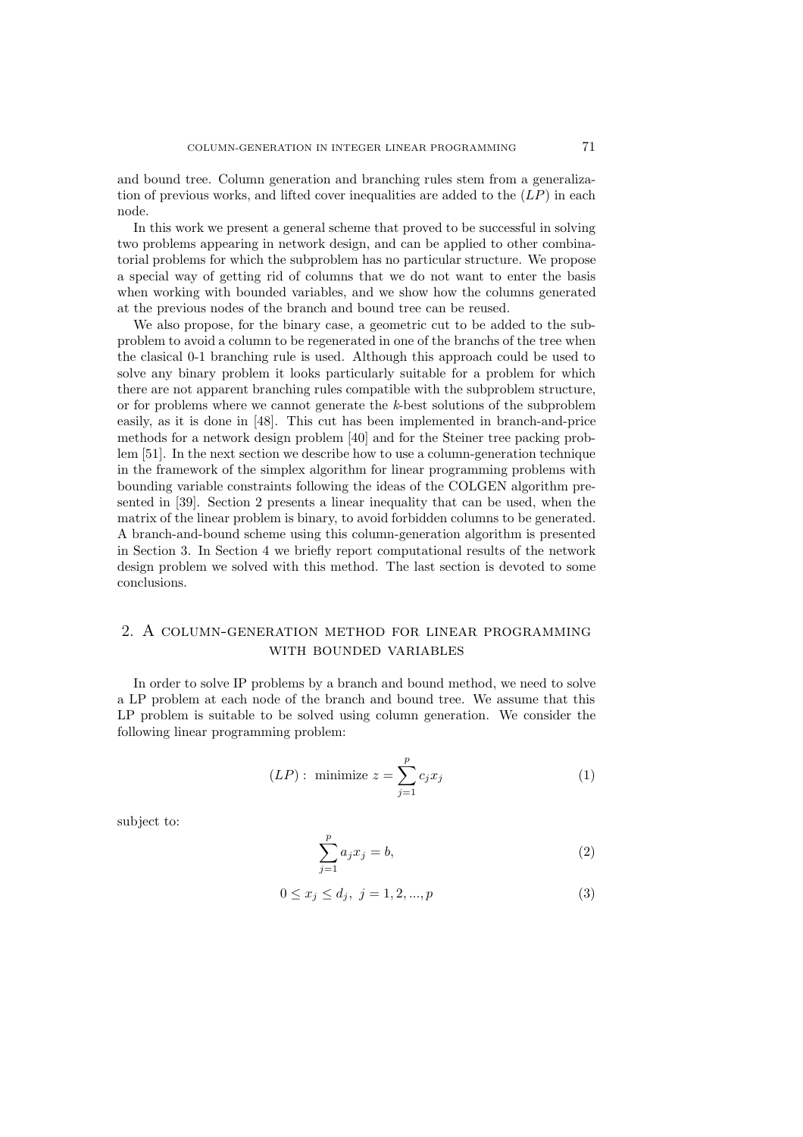and bound tree. Column generation and branching rules stem from a generalization of previous works, and lifted cover inequalities are added to the  $(LP)$  in each node.

In this work we present a general scheme that proved to be successful in solving two problems appearing in network design, and can be applied to other combinatorial problems for which the subproblem has no particular structure. We propose a special way of getting rid of columns that we do not want to enter the basis when working with bounded variables, and we show how the columns generated at the previous nodes of the branch and bound tree can be reused.

We also propose, for the binary case, a geometric cut to be added to the subproblem to avoid a column to be regenerated in one of the branchs of the tree when the clasical 0-1 branching rule is used. Although this approach could be used to solve any binary problem it looks particularly suitable for a problem for which there are not apparent branching rules compatible with the subproblem structure, or for problems where we cannot generate the *k*-best solutions of the subproblem easily, as it is done in [48]. This cut has been implemented in branch-and-price methods for a network design problem [40] and for the Steiner tree packing problem [51]. In the next section we describe how to use a column-generation technique in the framework of the simplex algorithm for linear programming problems with bounding variable constraints following the ideas of the COLGEN algorithm presented in [39]. Section 2 presents a linear inequality that can be used, when the matrix of the linear problem is binary, to avoid forbidden columns to be generated. A branch-and-bound scheme using this column-generation algorithm is presented in Section 3. In Section 4 we briefly report computational results of the network design problem we solved with this method. The last section is devoted to some conclusions.

## 2. A column-generation method for linear programming with bounded variables

In order to solve IP problems by a branch and bound method, we need to solve a LP problem at each node of the branch and bound tree. We assume that this LP problem is suitable to be solved using column generation. We consider the following linear programming problem:

$$
(LP): \text{ minimize } z = \sum_{j=1}^{p} c_j x_j \tag{1}
$$

subject to:

$$
\sum_{j=1}^{p} a_j x_j = b,\tag{2}
$$

$$
0 \le x_j \le d_j, \ j = 1, 2, ..., p \tag{3}
$$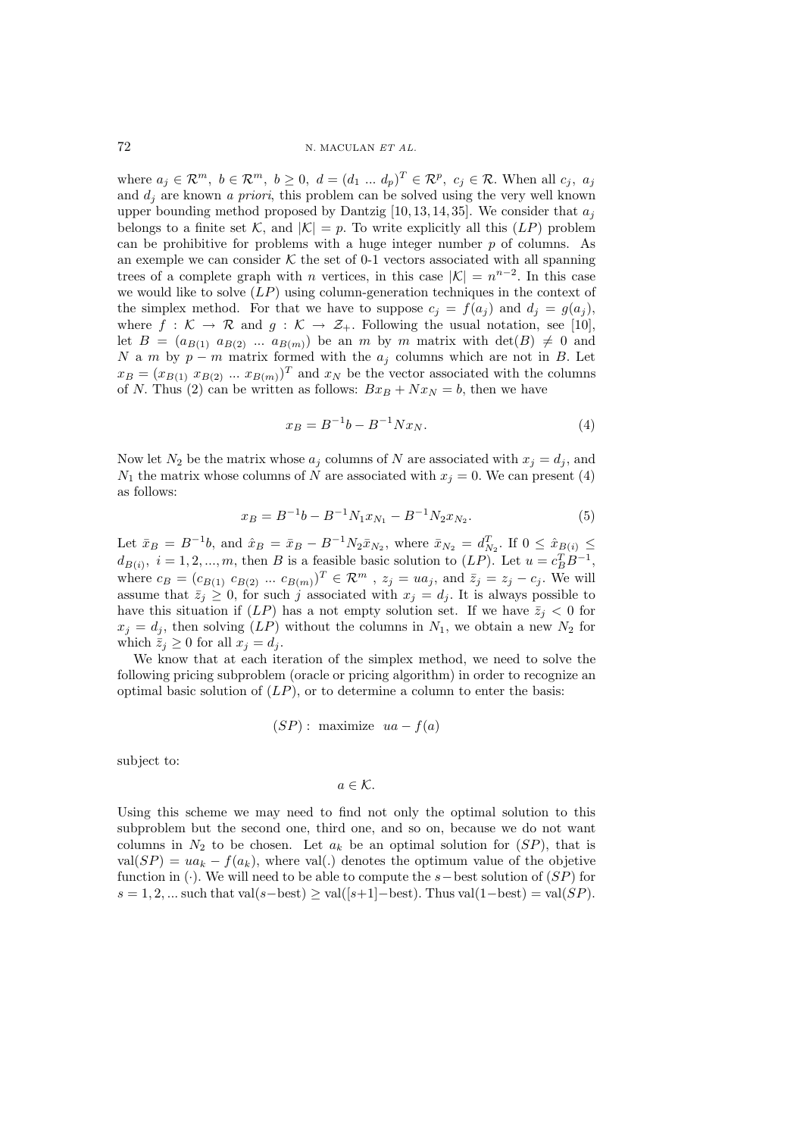where  $a_j \in \mathcal{R}^m$ ,  $b \in \mathcal{R}^m$ ,  $b \geq 0$ ,  $d = (d_1 \dots d_p)^T \in \mathcal{R}^p$ ,  $c_j \in \mathcal{R}$ . When all  $c_j$ ,  $a_j$ and  $d_i$  are known *a priori*, this problem can be solved using the very well known upper bounding method proposed by Dantzig [10, 13, 14, 35]. We consider that  $a_i$ belongs to a finite set K, and  $|K| = p$ . To write explicitly all this  $(LP)$  problem can be prohibitive for problems with a huge integer number  $p$  of columns. As an exemple we can consider  $K$  the set of 0-1 vectors associated with all spanning trees of a complete graph with *n* vertices, in this case  $|\mathcal{K}| = n^{n-2}$ . In this case we would like to solve  $(LP)$  using column-generation techniques in the context of the simplex method. For that we have to suppose  $c_j = f(a_j)$  and  $d_j = g(a_j)$ , where  $f: \mathcal{K} \to \mathcal{R}$  and  $g: \mathcal{K} \to \mathcal{Z}_+$ . Following the usual notation, see [10], let  $B = (a_{B(1)} a_{B(2)} \dots a_{B(m)})$  be an m by m matrix with  $\det(B) \neq 0$  and N a m by  $p - m$  matrix formed with the  $a_j$  columns which are not in B. Let  $x_B = (x_{B(1)} \ x_{B(2)} \dots x_{B(m)})^T$  and  $x_N$  be the vector associated with the columns of N. Thus (2) can be written as follows:  $Bx_B + Nx_N = b$ , then we have

$$
x_B = B^{-1}b - B^{-1}Nx_N.
$$
 (4)

Now let  $N_2$  be the matrix whose  $a_j$  columns of N are associated with  $x_j = d_j$ , and  $N_1$  the matrix whose columns of N are associated with  $x_j = 0$ . We can present (4) as follows:

$$
x_B = B^{-1}b - B^{-1}N_1x_{N_1} - B^{-1}N_2x_{N_2}.
$$
\n<sup>(5)</sup>

Let  $\bar{x}_B = B^{-1}b$ , and  $\hat{x}_B = \bar{x}_B - B^{-1}N_2\bar{x}_{N_2}$ , where  $\bar{x}_{N_2} = d_{N_2}^T$ . If  $0 \leq \hat{x}_{B(i)} \leq$  $d_{B(i)}$ ,  $i = 1, 2, ..., m$ , then B is a feasible basic solution to  $(LP)$ . Let  $u = c_B^T B^{-1}$ , where  $c_B = (c_{B(1)} c_{B(2)} ... c_{B(m)})^T \in \mathcal{R}^m$ ,  $z_j = ua_j$ , and  $\bar{z}_j = z_j - c_j$ . We will assume that  $\bar{z}_j \geq 0$ , for such j associated with  $x_j = d_j$ . It is always possible to have this situation if  $(LP)$  has a not empty solution set. If we have  $\bar{z}_j < 0$  for  $x_j = d_j$ , then solving  $(LP)$  without the columns in  $N_1$ , we obtain a new  $N_2$  for which  $\bar{z}_i \geq 0$  for all  $x_i = d_i$ .

We know that at each iteration of the simplex method, we need to solve the following pricing subproblem (oracle or pricing algorithm) in order to recognize an optimal basic solution of  $(LP)$ , or to determine a column to enter the basis:

$$
(SP): \text{ maximize } ua - f(a)
$$

subject to:

$$
a\in\mathcal{K}.
$$

Using this scheme we may need to find not only the optimal solution to this subproblem but the second one, third one, and so on, because we do not want columns in  $N_2$  to be chosen. Let  $a_k$  be an optimal solution for  $(SP)$ , that is  $val(SP) = ua_k - f(a_k)$ , where val(.) denotes the optimum value of the objetive function in  $(·)$ . We will need to be able to compute the s – best solution of  $(SP)$  for  $s = 1, 2, ...$  such that val $(s-\text{best}) \geq \text{val}([s+1]-\text{best})$ . Thus val $(1-\text{best}) = \text{val}(SP)$ .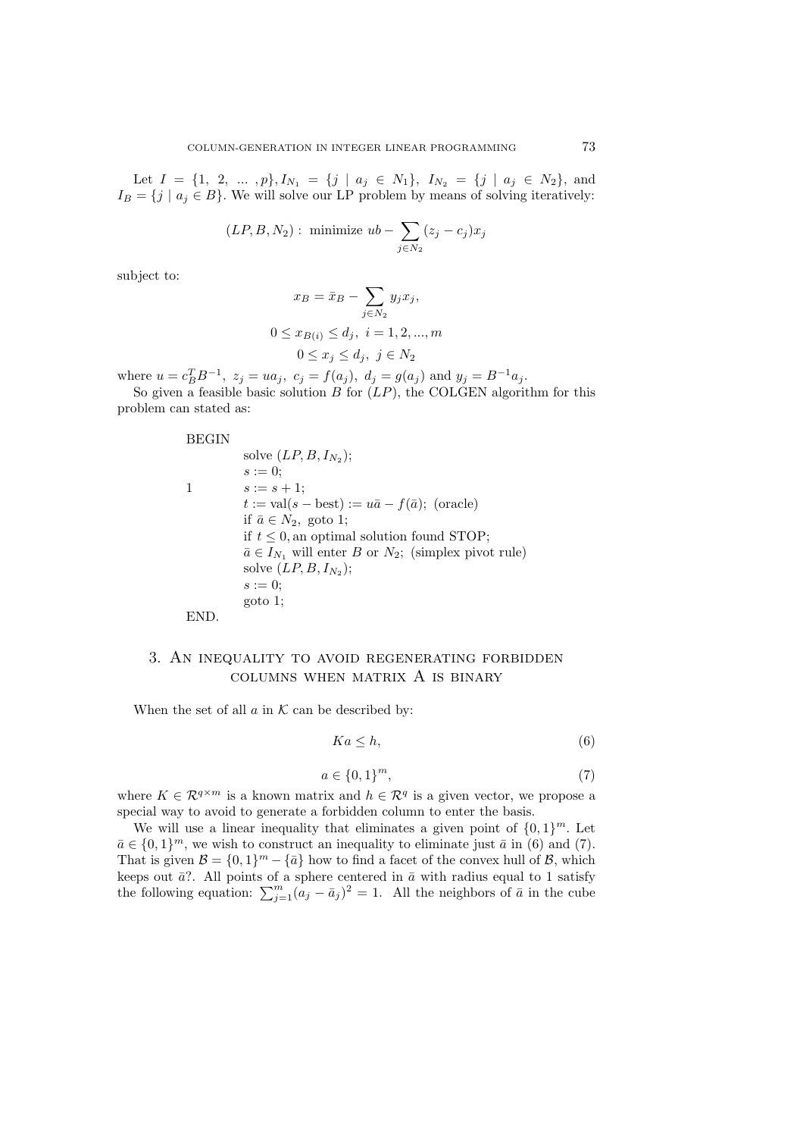Let  $I = \{1, 2, ..., p\}$ ,  $I_{N_1} = \{j | a_j \in N_1\}$ ,  $I_{N_2} = \{j | a_j \in N_2\}$ , and  $I_B = \{j \mid a_j \in B\}$ . We will solve our LP problem by means of solving iteratively:

$$
(LP, B, N_2): \text{ minimize } ub - \sum_{j \in N_2} (z_j - c_j) x_j
$$

subject to:

$$
x_B = \bar{x}_B - \sum_{j \in N_2} y_j x_j,
$$
  

$$
0 \le x_{B(i)} \le d_j, \quad i = 1, 2, ..., m
$$
  

$$
0 \le x_j \le d_j, \quad j \in N_2
$$

where  $u = c_B^T B^{-1}$ ,  $z_j = u a_j$ ,  $c_j = f(a_j)$ ,  $d_j = g(a_j)$  and  $y_j = B^{-1} a_j$ .

So given a feasible basic solution  $B$  for  $(LP)$ , the COLGEN algorithm for this problem can stated as:

### BEGIN

solve  $(LP, B, I_{N_2});$  $s := 0;$ 1  $s := s + 1;$  $t := val(s - best) := u\bar{a} - f(\bar{a});$  (oracle) if  $\bar{a} \in N_2$ , goto 1; if  $t \leq 0$ , an optimal solution found STOP;  $\bar{a} \in I_{N_1}$  will enter B or  $N_2$ ; (simplex pivot rule) solve  $(LP, B, I_{N_2});$  $s := 0;$ goto 1; END.

## 3. An inequality to avoid regenerating forbidden columns when matrix A is binary

When the set of all  $a$  in  $K$  can be described by:

$$
Ka \leq h,\tag{6}
$$

$$
a \in \{0, 1\}^m,\tag{7}
$$

where  $K \in \mathcal{R}^{q \times m}$  is a known matrix and  $h \in \mathcal{R}^q$  is a given vector, we propose a special way to avoid to generate a forbidden column to enter the basis.

We will use a linear inequality that eliminates a given point of  $\{0, 1\}^m$ . Let  $\bar{a} \in \{0,1\}^m$ , we wish to construct an inequality to eliminate just  $\bar{a}$  in (6) and (7). That is given  $\mathcal{B} = \{0, 1\}^m - \{\bar{a}\}\$ how to find a facet of the convex hull of  $\mathcal{B}$ , which keeps out  $\bar{a}$ ?. All points of a sphere centered in  $\bar{a}$  with radius equal to 1 satisfy the following equation:  $\sum_{j=1}^{m} (a_j - \bar{a}_j)^2 = 1$ . All the neighbors of  $\bar{a}$  in the cube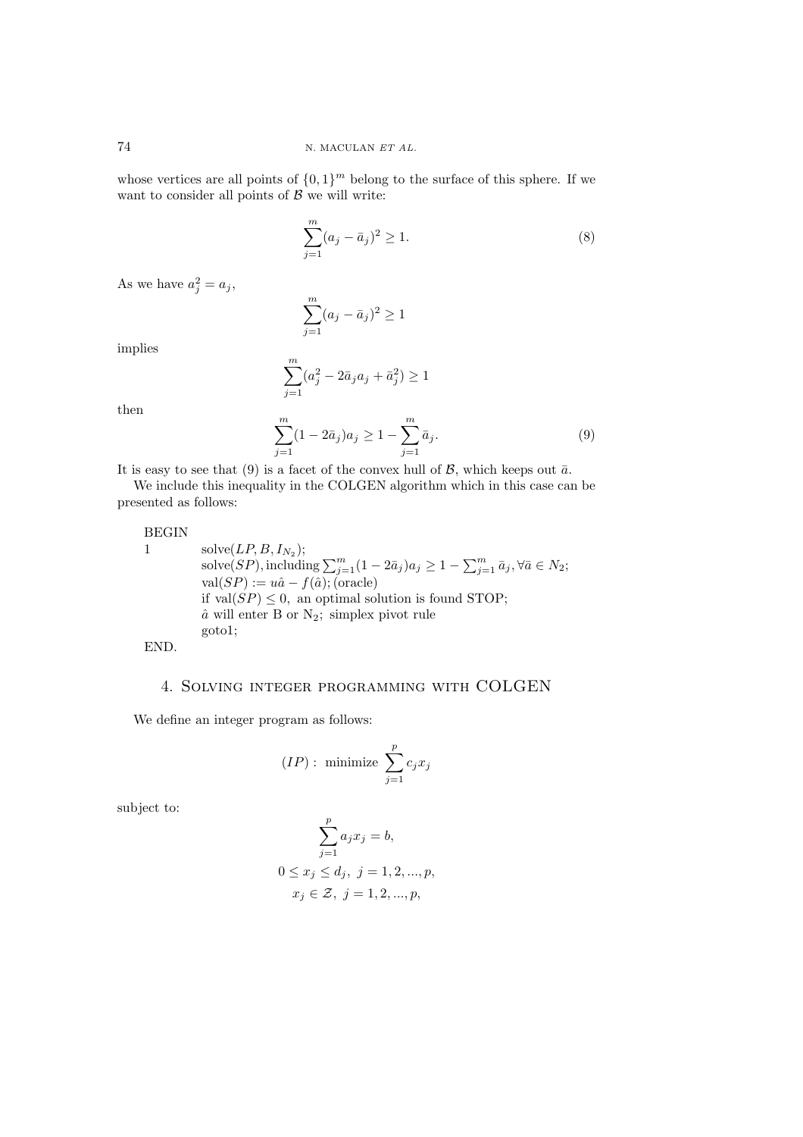whose vertices are all points of  $\{0,1\}^m$  belong to the surface of this sphere. If we want to consider all points of  $\beta$  we will write:

$$
\sum_{j=1}^{m} (a_j - \bar{a}_j)^2 \ge 1.
$$
 (8)

As we have  $a_j^2 = a_j$ ,

$$
\sum_{j=1}^{m} (a_j - \bar{a}_j)^2 \ge 1
$$

implies

$$
\sum_{j=1}^{m} (a_j^2 - 2\bar{a}_j a_j + \bar{a}_j^2) \ge 1
$$

then

$$
\sum_{j=1}^{m} (1 - 2\bar{a}_j)a_j \ge 1 - \sum_{j=1}^{m} \bar{a}_j.
$$
 (9)

It is easy to see that (9) is a facet of the convex hull of  $\beta$ , which keeps out  $\bar{a}$ .

We include this inequality in the COLGEN algorithm which in this case can be presented as follows:

BEGIN

1 solve
$$
(LP, B, I_{N_2})
$$
;  
\nsolve $(SP)$ , including  $\sum_{j=1}^{m} (1 - 2\bar{a}_j)a_j \ge 1 - \sum_{j=1}^{m} \bar{a}_j$ ,  $\forall \bar{a} \in N_2$ ;  
\nval $(SP) := u\hat{a} - f(\hat{a})$ ; (oracle)  
\nif val $(SP) \le 0$ , an optimal solution is found STOP;  
\n $\hat{a}$  will enter B or N<sub>2</sub>; simplex pivot rule  
\ngotot1;

END.

# 4. Solving integer programming with COLGEN

We define an integer program as follows:

$$
(IP): \text{ minimize } \sum_{j=1}^{p} c_j x_j
$$

subject to:

$$
\sum_{j=1}^{p} a_j x_j = b,
$$
  
0 \le x\_j \le d\_j, j = 1, 2, ..., p,  
 $x_j \in \mathcal{Z}, j = 1, 2, ..., p,$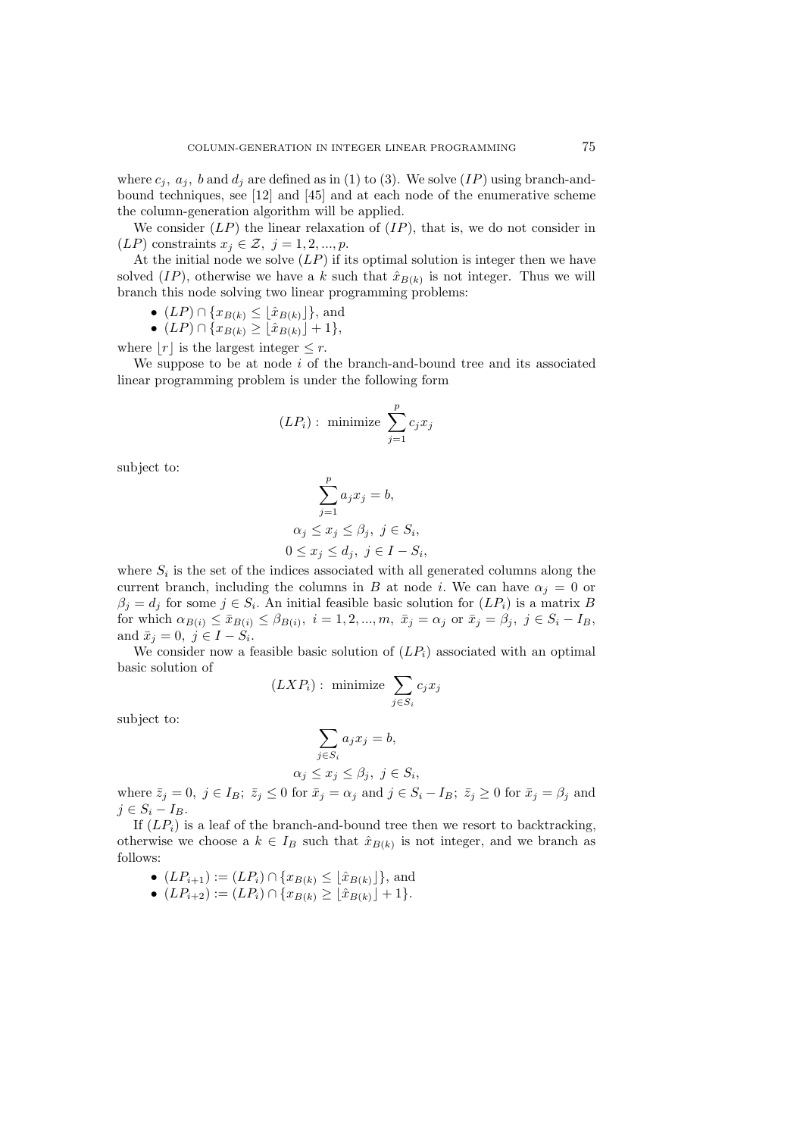where  $c_i$ ,  $a_j$ ,  $b$  and  $d_j$  are defined as in (1) to (3). We solve (IP) using branch-andbound techniques, see [12] and [45] and at each node of the enumerative scheme the column-generation algorithm will be applied.

We consider  $(LP)$  the linear relaxation of  $(IP)$ , that is, we do not consider in  $(LP)$  constraints  $x_j \in \mathcal{Z}, j = 1, 2, ..., p$ .

At the initial node we solve  $(LP)$  if its optimal solution is integer then we have solved  $(IP)$ , otherwise we have a k such that  $\hat{x}_{B(k)}$  is not integer. Thus we will branch this node solving two linear programming problems:

•  $(LP) \cap \{x_{B(k)} \leq \lfloor \hat{x}_{B(k)} \rfloor\},\$ and

•  $(LP) \cap \{x_{B(k)} \geq \lfloor \hat{x}_{B(k)} \rfloor + 1\},\$ 

where  $|r|$  is the largest integer  $\leq r$ .

We suppose to be at node  $i$  of the branch-and-bound tree and its associated linear programming problem is under the following form

$$
(LP_i): \text{ minimize } \sum_{j=1}^p c_j x_j
$$

subject to:

$$
\sum_{j=1}^{p} a_j x_j = b,
$$
  
\n
$$
\alpha_j \le x_j \le \beta_j, \ j \in S_i,
$$
  
\n
$$
0 \le x_j \le d_j, \ j \in I - S_i,
$$

where  $S_i$  is the set of the indices associated with all generated columns along the current branch, including the columns in B at node i. We can have  $\alpha_i = 0$  or  $\beta_j = d_j$  for some  $j \in S_i$ . An initial feasible basic solution for  $(LP_i)$  is a matrix B for which  $\alpha_{B(i)} \leq \bar{x}_{B(i)} \leq \beta_{B(i)}, i = 1, 2, ..., m, \bar{x}_j = \alpha_j \text{ or } \bar{x}_j = \beta_j, j \in S_i - I_B$ , and  $\bar{x}_j = 0, j \in I - S_i$ .

We consider now a feasible basic solution of  $(LP_i)$  associated with an optimal basic solution of

$$
(LXP_i): \text{ minimize } \sum_{j \in S_i} c_j x_j
$$

subject to:

$$
\sum_{j \in S_i} a_j x_j = b,
$$
  

$$
\alpha_j \le x_j \le \beta_j, \ j \in S_i,
$$

where  $\bar{z}_j = 0, \ j \in I_B; \ \bar{z}_j \leq 0 \text{ for } \bar{x}_j = \alpha_j \text{ and } j \in S_i - I_B; \ \bar{z}_j \geq 0 \text{ for } \bar{x}_j = \beta_j \text{ and }$  $j \in S_i - I_B$ .

If  $(LP_i)$  is a leaf of the branch-and-bound tree then we resort to backtracking, otherwise we choose a  $k \in I_B$  such that  $\hat{x}_{B(k)}$  is not integer, and we branch as follows:

- $(LP_{i+1}) := (LP_i) \cap \{x_{B(k)} \leq \lfloor \hat{x}_{B(k)} \rfloor\},\$ and
- $(LP_{i+2}) := (LP_i) \cap \{x_{B(k)} \geq |\hat{x}_{B(k)}| + 1\}.$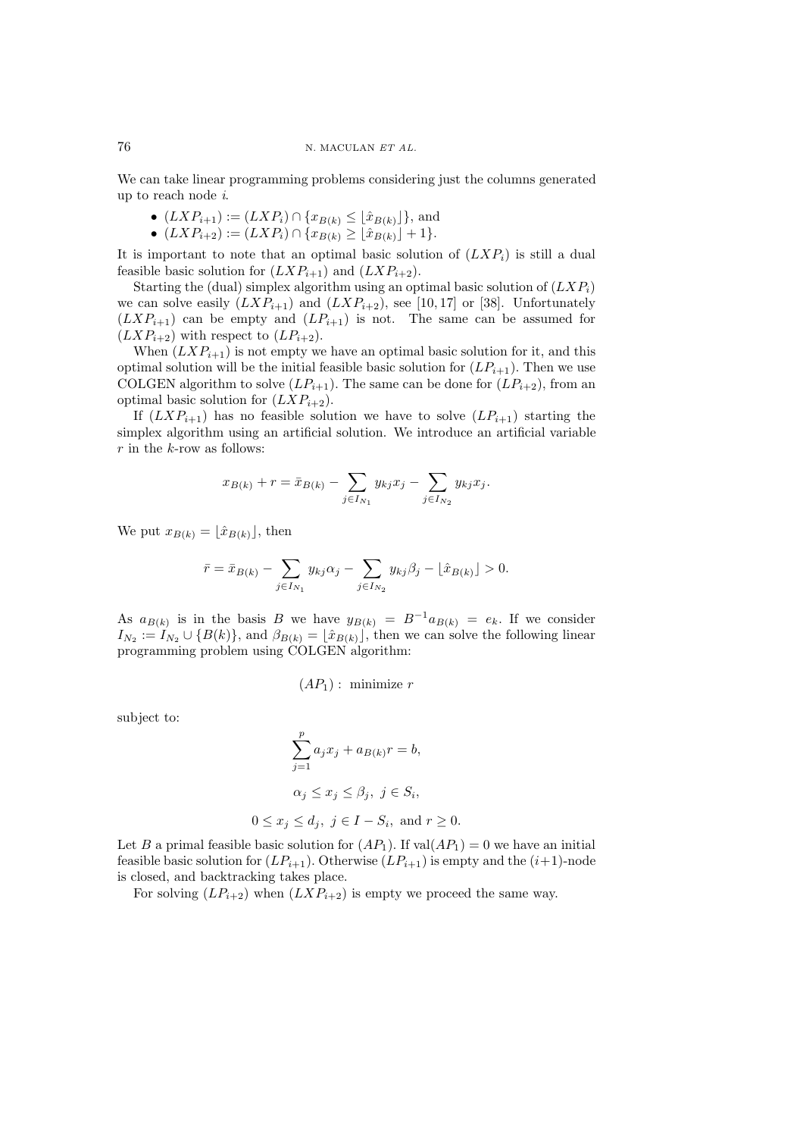We can take linear programming problems considering just the columns generated up to reach node *i*.

- $(LXP_{i+1}) := (LXP_i) \cap \{x_{B(k)} \leq \lfloor \hat{x}_{B(k)} \rfloor\},\$  and
- $(LXP_{i+2}) := (LXP_i) \cap \{x_{B(k)} \geq \lfloor \hat{x}_{B(k)} \rfloor + 1\}.$

It is important to note that an optimal basic solution of  $(LXP_i)$  is still a dual feasible basic solution for  $(LXP_{i+1})$  and  $(LXP_{i+2})$ .

Starting the (dual) simplex algorithm using an optimal basic solution of  $(LXP_i)$ we can solve easily  $(LXP_{i+1})$  and  $(LXP_{i+2})$ , see [10,17] or [38]. Unfortunately  $(LXP_{i+1})$  can be empty and  $(LP_{i+1})$  is not. The same can be assumed for  $(LXP_{i+2})$  with respect to  $(LP_{i+2})$ .

When  $(LXP_{i+1})$  is not empty we have an optimal basic solution for it, and this optimal solution will be the initial feasible basic solution for  $(LP_{i+1})$ . Then we use COLGEN algorithm to solve  $(LP_{i+1})$ . The same can be done for  $(LP_{i+2})$ , from an optimal basic solution for  $(LXP_{i+2})$ .

If  $(LXP_{i+1})$  has no feasible solution we have to solve  $(LP_{i+1})$  starting the simplex algorithm using an artificial solution. We introduce an artificial variable  $r$  in the  $k$ -row as follows:

$$
x_{B(k)} + r = \bar{x}_{B(k)} - \sum_{j \in I_{N_1}} y_{kj} x_j - \sum_{j \in I_{N_2}} y_{kj} x_j.
$$

We put  $x_{B(k)} = [\hat{x}_{B(k)}],$  then

$$
\bar{r} = \bar{x}_{B(k)} - \sum_{j \in I_{N_1}} y_{kj} \alpha_j - \sum_{j \in I_{N_2}} y_{kj} \beta_j - \lfloor \hat{x}_{B(k)} \rfloor > 0.
$$

As  $a_{B(k)}$  is in the basis B we have  $y_{B(k)} = B^{-1}a_{B(k)} = e_k$ . If we consider  $I_{N_2} := I_{N_2} \cup \{B(k)\}\text{, and } \beta_{B(k)} = \lfloor \hat{x}_{B(k)} \rfloor\text{, then we can solve the following linear.}$ programming problem using COLGEN algorithm:

$$
(AP_1): \text{ minimize } r
$$

subject to:

$$
\sum_{j=1}^{p} a_j x_j + a_{B(k)} r = b,
$$
  
\n
$$
\alpha_j \le x_j \le \beta_j, \ j \in S_i,
$$
  
\n
$$
0 \le x_j \le d_j, \ j \in I - S_i, \text{ and } r \ge 0.
$$

Let B a primal feasible basic solution for  $(AP_1)$ . If  $val(AP_1) = 0$  we have an initial feasible basic solution for  $(LP_{i+1})$ . Otherwise  $(LP_{i+1})$  is empty and the  $(i+1)$ -node is closed, and backtracking takes place.

For solving  $(LP_{i+2})$  when  $(LXP_{i+2})$  is empty we proceed the same way.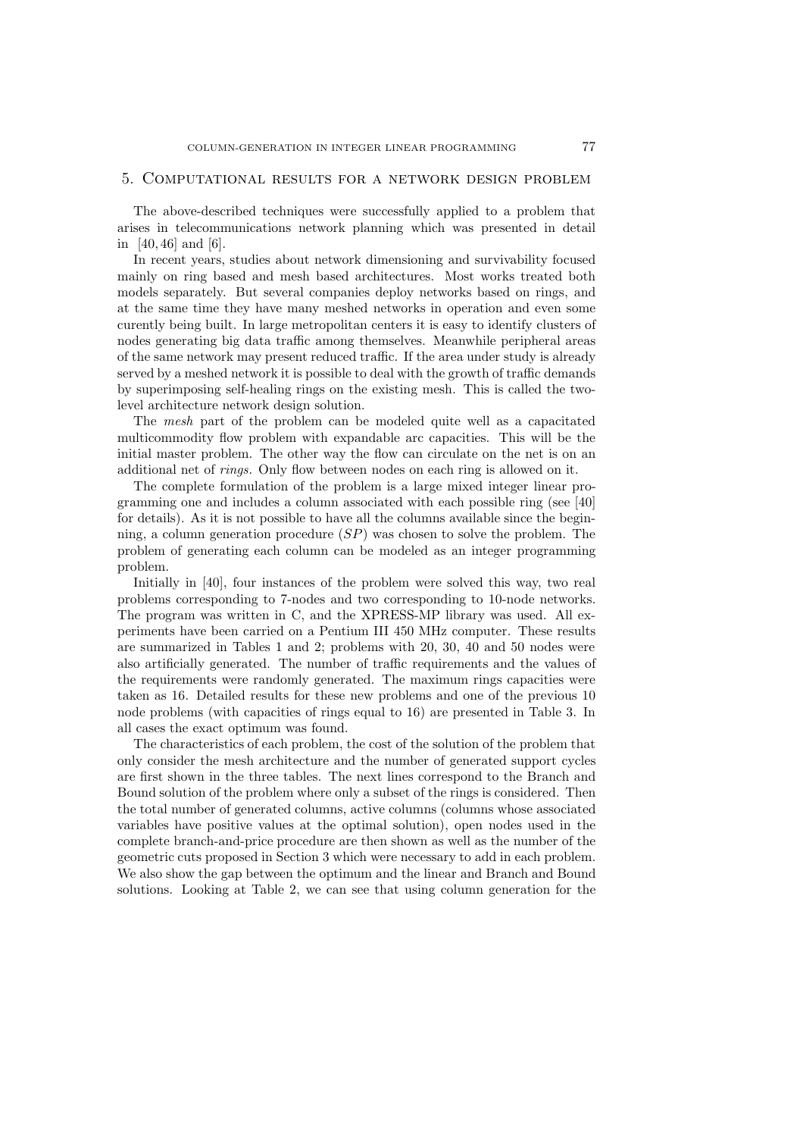### 5. Computational results for a network design problem

The above-described techniques were successfully applied to a problem that arises in telecommunications network planning which was presented in detail in [40, 46] and [6].

In recent years, studies about network dimensioning and survivability focused mainly on ring based and mesh based architectures. Most works treated both models separately. But several companies deploy networks based on rings, and at the same time they have many meshed networks in operation and even some curently being built. In large metropolitan centers it is easy to identify clusters of nodes generating big data traffic among themselves. Meanwhile peripheral areas of the same network may present reduced traffic. If the area under study is already served by a meshed network it is possible to deal with the growth of traffic demands by superimposing self-healing rings on the existing mesh. This is called the twolevel architecture network design solution.

The *mesh* part of the problem can be modeled quite well as a capacitated multicommodity flow problem with expandable arc capacities. This will be the initial master problem. The other way the flow can circulate on the net is on an additional net of *rings.* Only flow between nodes on each ring is allowed on it.

The complete formulation of the problem is a large mixed integer linear programming one and includes a column associated with each possible ring (see [40] for details). As it is not possible to have all the columns available since the beginning, a column generation procedure  $(SP)$  was chosen to solve the problem. The problem of generating each column can be modeled as an integer programming problem.

Initially in [40], four instances of the problem were solved this way, two real problems corresponding to 7-nodes and two corresponding to 10-node networks. The program was written in C, and the XPRESS-MP library was used. All experiments have been carried on a Pentium III 450 MHz computer. These results are summarized in Tables 1 and 2; problems with 20, 30, 40 and 50 nodes were also artificially generated. The number of traffic requirements and the values of the requirements were randomly generated. The maximum rings capacities were taken as 16. Detailed results for these new problems and one of the previous 10 node problems (with capacities of rings equal to 16) are presented in Table 3. In all cases the exact optimum was found.

The characteristics of each problem, the cost of the solution of the problem that only consider the mesh architecture and the number of generated support cycles are first shown in the three tables. The next lines correspond to the Branch and Bound solution of the problem where only a subset of the rings is considered. Then the total number of generated columns, active columns (columns whose associated variables have positive values at the optimal solution), open nodes used in the complete branch-and-price procedure are then shown as well as the number of the geometric cuts proposed in Section 3 which were necessary to add in each problem. We also show the gap between the optimum and the linear and Branch and Bound solutions. Looking at Table 2, we can see that using column generation for the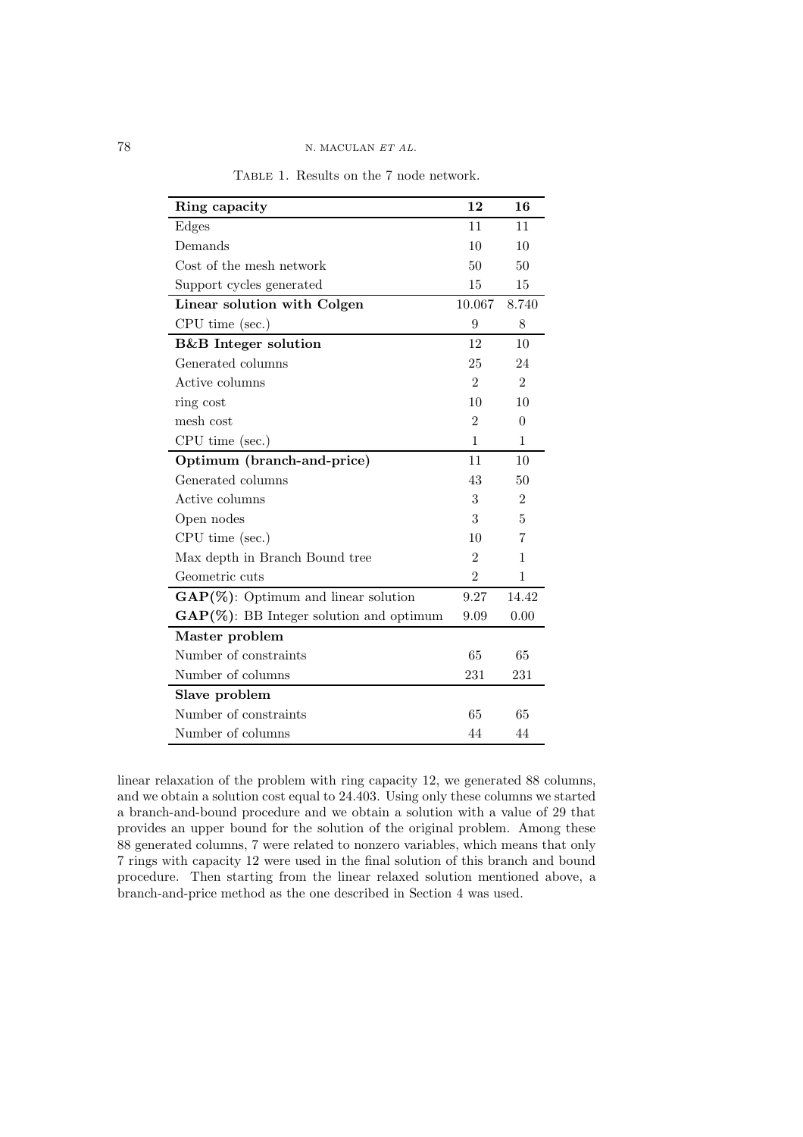Table 1. Results on the 7 node network.

| Ring capacity                                  | 12             | 16             |
|------------------------------------------------|----------------|----------------|
| Edges                                          | 11             | 11             |
| Demands                                        | 10             | 10             |
| Cost of the mesh network                       | 50             | 50             |
| Support cycles generated                       | 15             | 15             |
| Linear solution with Colgen                    | 10.067         | 8.740          |
| CPU time (sec.)                                | 9              | 8              |
| <b>B&amp;B</b> Integer solution                | 12             | 10             |
| Generated columns                              | 25             | 24             |
| Active columns                                 | $\overline{2}$ | $\mathfrak{D}$ |
| ring cost                                      | 10             | 10             |
| mesh cost                                      | $\overline{2}$ | $\theta$       |
| CPU time (sec.)                                | 1              | 1              |
| Optimum (branch-and-price)                     | 11             | 10             |
| Generated columns                              | 43             | 50             |
| Active columns                                 | 3              | $\overline{2}$ |
| Open nodes                                     | 3              | 5              |
| CPU time (sec.)                                | 10             | 7              |
| Max depth in Branch Bound tree                 | 2              | 1              |
| Geometric cuts                                 | $\overline{2}$ | 1              |
| $\text{GAP}(\%)$ : Optimum and linear solution | 9.27           | 14.42          |
| GAP(%): BB Integer solution and optimum        | 9.09           | 0.00           |
| Master problem                                 |                |                |
| Number of constraints                          | 65             | 65             |
| Number of columns                              | 231            | 231            |
| Slave problem                                  |                |                |
| Number of constraints                          | 65             | 65             |
| Number of columns                              | 44             | 44             |

linear relaxation of the problem with ring capacity 12, we generated 88 columns, and we obtain a solution cost equal to 24.403. Using only these columns we started a branch-and-bound procedure and we obtain a solution with a value of 29 that provides an upper bound for the solution of the original problem. Among these 88 generated columns, 7 were related to nonzero variables, which means that only 7 rings with capacity 12 were used in the final solution of this branch and bound procedure. Then starting from the linear relaxed solution mentioned above, a branch-and-price method as the one described in Section 4 was used.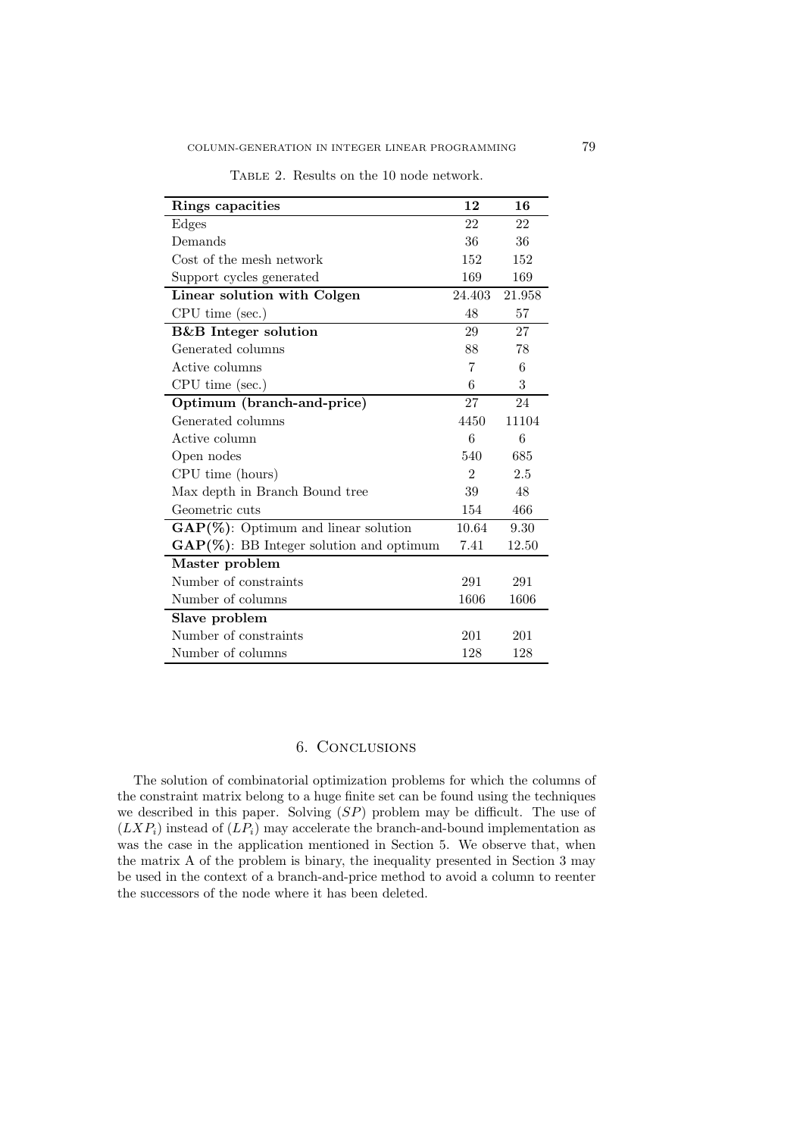| TABLE 2. Results on the 10 node network. |  |  |  |
|------------------------------------------|--|--|--|

| Rings capacities                                   | 12             | 16     |
|----------------------------------------------------|----------------|--------|
| Edges                                              | 22             | 22     |
| Demands                                            | 36             | 36     |
| Cost of the mesh network                           | 152            | 152    |
| Support cycles generated                           | 169            | 169    |
| Linear solution with Colgen                        | 24.403         | 21.958 |
| CPU time (sec.)                                    | 48             | 57     |
| <b>B&amp;B</b> Integer solution                    | 29             | 27     |
| Generated columns                                  | 88             | 78     |
| Active columns                                     | $\overline{7}$ | 6      |
| CPU time (sec.)                                    | 6              | 3      |
| Optimum (branch-and-price)                         | 27             | 24     |
| Generated columns                                  | 4450           | 11104  |
| Active column                                      | 6              | 6      |
| Open nodes                                         | 540            | 685    |
| CPU time (hours)                                   | $\mathfrak{D}$ | 2.5    |
| Max depth in Branch Bound tree                     | 39             | 48     |
| Geometric cuts                                     | 154            | 466    |
| $\text{GAP}(\%)$ : Optimum and linear solution     | 10.64          | 9.30   |
| $\text{GAP}(\%)$ : BB Integer solution and optimum | 7.41           | 12.50  |
| Master problem                                     |                |        |
| Number of constraints                              | 291            | 291    |
| Number of columns                                  | 1606           | 1606   |
| Slave problem                                      |                |        |
| Number of constraints                              | 201            | 201    |
| Number of columns                                  | 128            | 128    |

## 6. Conclusions

The solution of combinatorial optimization problems for which the columns of the constraint matrix belong to a huge finite set can be found using the techniques we described in this paper. Solving  $(SP)$  problem may be difficult. The use of  $(LXP_i)$  instead of  $(LP_i)$  may accelerate the branch-and-bound implementation as was the case in the application mentioned in Section 5. We observe that, when the matrix A of the problem is binary, the inequality presented in Section 3 may be used in the context of a branch-and-price method to avoid a column to reenter the successors of the node where it has been deleted.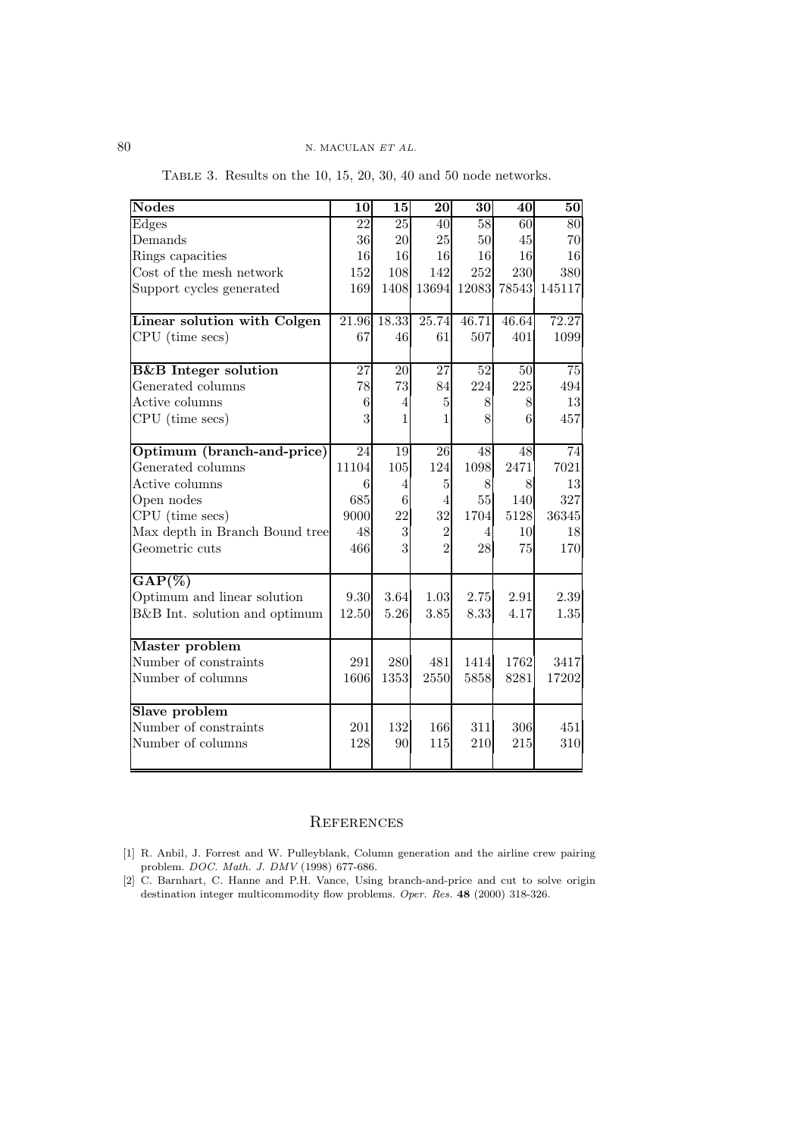| TABLE 3. Results on the 10, 15, 20, 30, 40 and 50 node networks. |
|------------------------------------------------------------------|
|------------------------------------------------------------------|

| <b>Nodes</b>                    | 10              | 15              | $\overline{2}0$ | 30              | 40    | 50              |
|---------------------------------|-----------------|-----------------|-----------------|-----------------|-------|-----------------|
| Edges                           | 22              | 25              | 40              | 58              | 60    | 80              |
| Demands                         | 36              | 20              | 25              | 50              | 45    | 70              |
| Rings capacities                | 16              | 16              | 16              | 16              | 16    | 16              |
| Cost of the mesh network        | 152             | 108             | 142             | 252             | 230   | 380             |
| Support cycles generated        | 169             | 1408            | 13694           | 12083           | 78543 | 145117          |
| Linear solution with Colgen     | 21.96           | 18.33           | 25.74           | 46.71           | 46.64 | 72.27           |
| CPU (time secs)                 | 67              | 46              | 61              | 507             | 401   | 1099            |
|                                 |                 |                 |                 |                 |       |                 |
| <b>B&amp;B</b> Integer solution | $\overline{27}$ | $\overline{20}$ | $\overline{27}$ | $\overline{52}$ | 50    | $\overline{75}$ |
| Generated columns               | 78              | 73              | 84              | 224             | 225   | 494             |
| Active columns                  | 6               | 4               | 5               | 8               | 8     | 13              |
| CPU (time secs)                 | 3               | 1               | 1               | 8               | 6     | 457             |
| Optimum (branch-and-price)      | 24              | 19              | 26              | 48              | 48    | 74              |
| Generated columns               | 11104           | 105             | 124             | 1098            | 2471  | 7021            |
| Active columns                  | 6               | 4               | $\overline{5}$  | 8               | 8     | 13              |
| Open nodes                      | 685             | 6               | $\overline{4}$  | 55              | 140   | 327             |
| CPU (time secs)                 | 9000            | 22              | 32              | 1704            | 5128  | 36345           |
| Max depth in Branch Bound tree  | 48              | 3               | $\overline{2}$  | $\overline{4}$  | 10    | 18              |
| Geometric cuts                  | 466             | 3               | $\overline{2}$  | 28              | 75    | 170             |
| $GAP(\%)$                       |                 |                 |                 |                 |       |                 |
| Optimum and linear solution     | 9.30            | 3.64            | 1.03            | 2.75            | 2.91  | 2.39            |
| B&B Int. solution and optimum   | 12.50           | 5.26            | 3.85            | 8.33            | 4.17  | 1.35            |
|                                 |                 |                 |                 |                 |       |                 |
| Master problem                  |                 |                 |                 |                 |       |                 |
| Number of constraints           | 291             | 280             | 481             | 1414            | 1762  | 3417            |
| Number of columns               | 1606            | 1353            | 2550            | 5858            | 8281  | 17202           |
| Slave problem                   |                 |                 |                 |                 |       |                 |
| Number of constraints           | 201             | 132             | 166             | 311             | 306   | 451             |
| Number of columns               | 128             | 90              | 115             | 210             | 215   | 310             |
|                                 |                 |                 |                 |                 |       |                 |

# **REFERENCES**

<sup>[1]</sup> R. Anbil, J. Forrest and W. Pulleyblank, Column generation and the airline crew pairing problem. DOC. Math. J. DMV (1998) 677-686.

<sup>[2]</sup> C. Barnhart, C. Hanne and P.H. Vance, Using branch-and-price and cut to solve origin destination integer multicommodity flow problems. Oper. Res. **48** (2000) 318-326.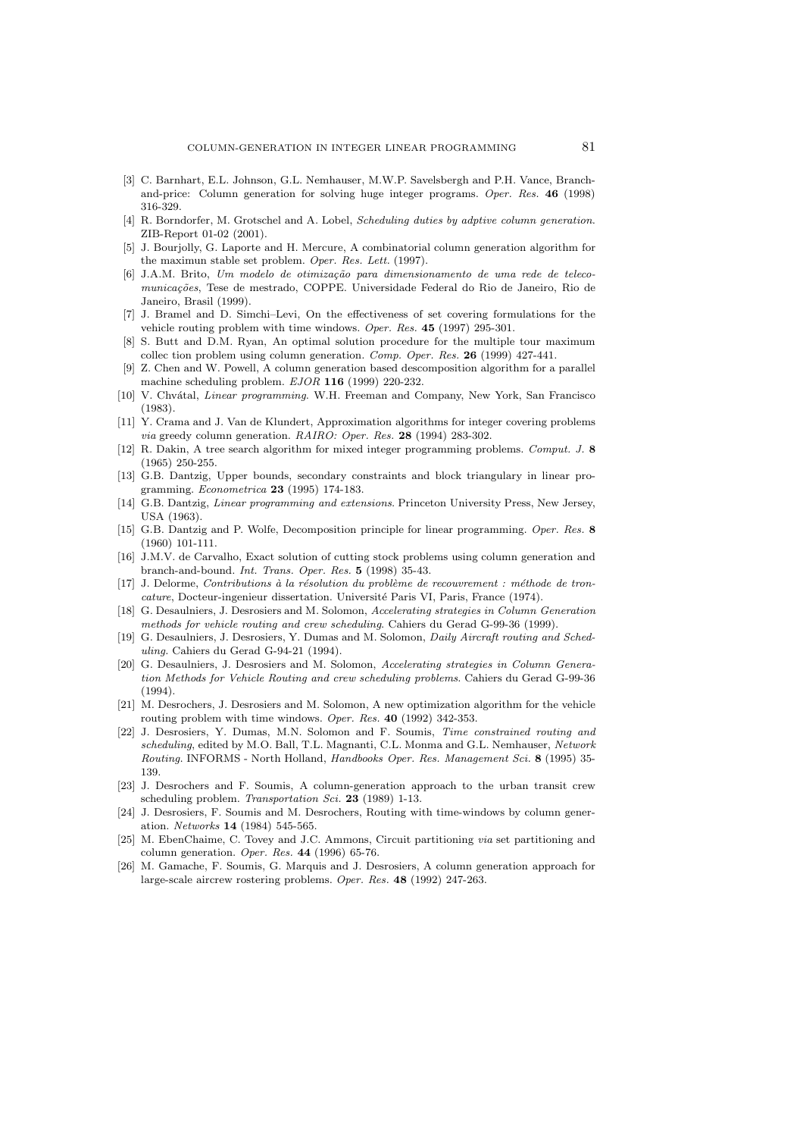- [3] C. Barnhart, E.L. Johnson, G.L. Nemhauser, M.W.P. Savelsbergh and P.H. Vance, Branchand-price: Column generation for solving huge integer programs. Oper. Res. **46** (1998) 316-329.
- [4] R. Borndorfer, M. Grotschel and A. Lobel, *Scheduling duties by adptive column generation*. ZIB-Report 01-02 (2001).
- [5] J. Bourjolly, G. Laporte and H. Mercure, A combinatorial column generation algorithm for the maximun stable set problem. Oper. Res. Lett. (1997).
- [6] J.A.M. Brito, Um modelo de otimização para dimensionamento de uma rede de telecomunicações, Tese de mestrado, COPPE. Universidade Federal do Rio de Janeiro, Rio de Janeiro, Brasil (1999).
- [7] J. Bramel and D. Simchi–Levi, On the effectiveness of set covering formulations for the vehicle routing problem with time windows. Oper. Res. **45** (1997) 295-301.
- [8] S. Butt and D.M. Ryan, An optimal solution procedure for the multiple tour maximum collec tion problem using column generation. Comp. Oper. Res. **26** (1999) 427-441.
- [9] Z. Chen and W. Powell, A column generation based descomposition algorithm for a parallel machine scheduling problem. EJOR **116** (1999) 220-232.
- [10] V. Chvátal, Linear programming. W.H. Freeman and Company, New York, San Francisco (1983).
- [11] Y. Crama and J. Van de Klundert, Approximation algorithms for integer covering problems via greedy column generation. RAIRO: Oper. Res. **28** (1994) 283-302.
- [12] R. Dakin, A tree search algorithm for mixed integer programming problems. Comput. J. **8** (1965) 250-255.
- [13] G.B. Dantzig, Upper bounds, secondary constraints and block triangulary in linear programming. Econometrica **23** (1995) 174-183.
- [14] G.B. Dantzig, *Linear programming and extensions*. Princeton University Press, New Jersey, USA (1963).
- [15] G.B. Dantzig and P. Wolfe, Decomposition principle for linear programming. Oper. Res. **8** (1960) 101-111.
- [16] J.M.V. de Carvalho, Exact solution of cutting stock problems using column generation and branch-and-bound. Int. Trans. Oper. Res. **5** (1998) 35-43.
- [17] J. Delorme, Contributions à la résolution du problème de recouvrement : méthode de troncature, Docteur-ingenieur dissertation. Université Paris VI, Paris, France (1974).
- [18] G. Desaulniers, J. Desrosiers and M. Solomon, Accelerating strategies in Column Generation methods for vehicle routing and crew scheduling. Cahiers du Gerad G-99-36 (1999).
- [19] G. Desaulniers, J. Desrosiers, Y. Dumas and M. Solomon, *Daily Aircraft routing and Sched*uling. Cahiers du Gerad G-94-21 (1994).
- [20] G. Desaulniers, J. Desrosiers and M. Solomon, Accelerating strategies in Column Generation Methods for Vehicle Routing and crew scheduling problems. Cahiers du Gerad G-99-36 (1994).
- [21] M. Desrochers, J. Desrosiers and M. Solomon, A new optimization algorithm for the vehicle routing problem with time windows. Oper. Res. **40** (1992) 342-353.
- [22] J. Desrosiers, Y. Dumas, M.N. Solomon and F. Soumis, Time constrained routing and scheduling, edited by M.O. Ball, T.L. Magnanti, C.L. Monma and G.L. Nemhauser, Network Routing. INFORMS - North Holland, Handbooks Oper. Res. Management Sci. **8** (1995) 35- 139.
- [23] J. Desrochers and F. Soumis, A column-generation approach to the urban transit crew scheduling problem. Transportation Sci. **23** (1989) 1-13.
- [24] J. Desrosiers, F. Soumis and M. Desrochers, Routing with time-windows by column generation. Networks **14** (1984) 545-565.
- [25] M. EbenChaime, C. Tovey and J.C. Ammons, Circuit partitioning via set partitioning and column generation. Oper. Res. **44** (1996) 65-76.
- [26] M. Gamache, F. Soumis, G. Marquis and J. Desrosiers, A column generation approach for large-scale aircrew rostering problems. Oper. Res. **48** (1992) 247-263.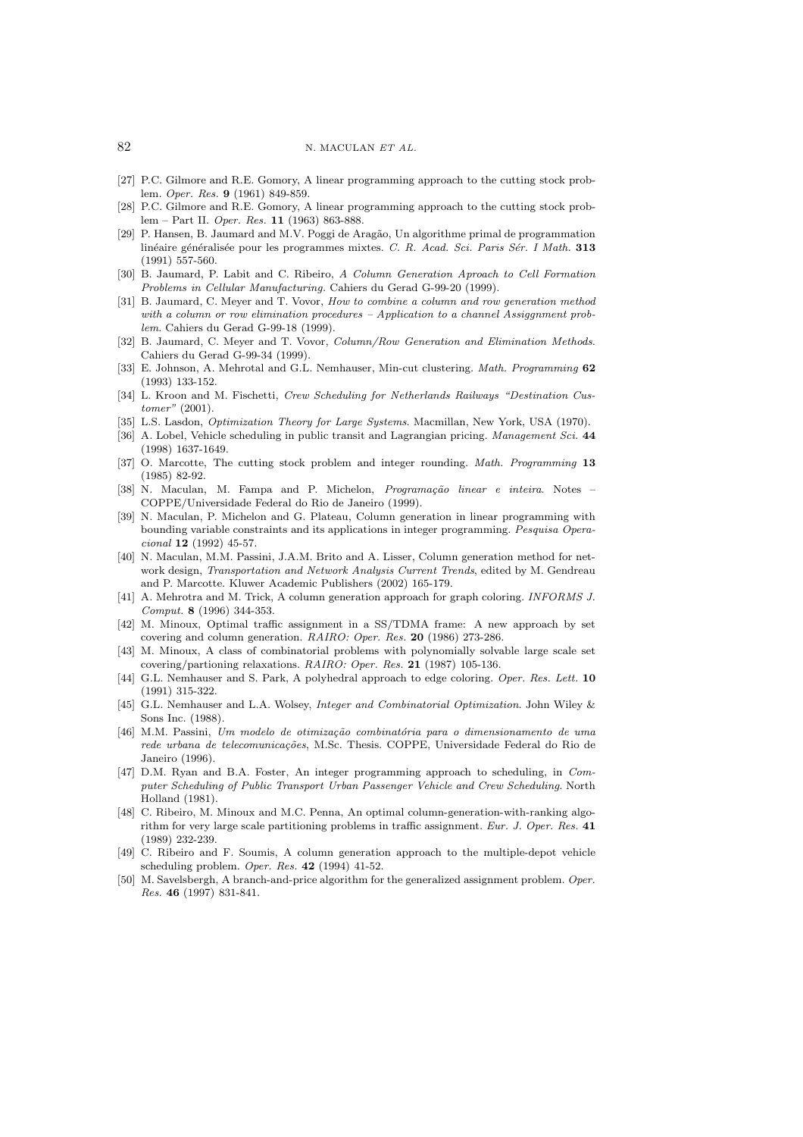- [27] P.C. Gilmore and R.E. Gomory, A linear programming approach to the cutting stock problem. Oper. Res. **9** (1961) 849-859.
- [28] P.C. Gilmore and R.E. Gomory, A linear programming approach to the cutting stock problem – Part II. Oper. Res. **11** (1963) 863-888.
- [29] P. Hansen, B. Jaumard and M.V. Poggi de Aragão, Un algorithme primal de programmation linéaire généralisée pour les programmes mixtes. C. R. Acad. Sci. Paris Sér. I Math. **313** (1991) 557-560.
- [30] B. Jaumard, P. Labit and C. Ribeiro, A Column Generation Aproach to Cell Formation Problems in Cellular Manufacturing. Cahiers du Gerad G-99-20 (1999).
- [31] B. Jaumard, C. Meyer and T. Vovor, How to combine a column and row generation method with a column or row elimination procedures – Application to a channel Assiggnment problem. Cahiers du Gerad G-99-18 (1999).
- [32] B. Jaumard, C. Meyer and T. Vovor, Column/Row Generation and Elimination Methods. Cahiers du Gerad G-99-34 (1999).
- [33] E. Johnson, A. Mehrotal and G.L. Nemhauser, Min-cut clustering. Math. Programming **62** (1993) 133-152.
- [34] L. Kroon and M. Fischetti, Crew Scheduling for Netherlands Railways "Destination Customer" (2001).
- [35] L.S. Lasdon, Optimization Theory for Large Systems. Macmillan, New York, USA (1970).
- [36] A. Lobel, Vehicle scheduling in public transit and Lagrangian pricing. Management Sci. **44** (1998) 1637-1649.
- [37] O. Marcotte, The cutting stock problem and integer rounding. Math. Programming **13** (1985) 82-92.
- [38] N. Maculan, M. Fampa and P. Michelon, *Programação linear e inteira*. Notes COPPE/Universidade Federal do Rio de Janeiro (1999).
- [39] N. Maculan, P. Michelon and G. Plateau, Column generation in linear programming with bounding variable constraints and its applications in integer programming. Pesquisa Operacional **12** (1992) 45-57.
- [40] N. Maculan, M.M. Passini, J.A.M. Brito and A. Lisser, Column generation method for network design, Transportation and Network Analysis Current Trends, edited by M. Gendreau and P. Marcotte. Kluwer Academic Publishers (2002) 165-179.
- [41] A. Mehrotra and M. Trick, A column generation approach for graph coloring. INFORMS J. Comput. **8** (1996) 344-353.
- [42] M. Minoux, Optimal traffic assignment in a SS/TDMA frame: A new approach by set covering and column generation. RAIRO: Oper. Res. **20** (1986) 273-286.
- [43] M. Minoux, A class of combinatorial problems with polynomially solvable large scale set covering/partioning relaxations. RAIRO: Oper. Res. **21** (1987) 105-136.
- [44] G.L. Nemhauser and S. Park, A polyhedral approach to edge coloring. Oper. Res. Lett. **10** (1991) 315-322.
- [45] G.L. Nemhauser and L.A. Wolsey, Integer and Combinatorial Optimization. John Wiley & Sons Inc. (1988).
- [46] M.M. Passini, Um modelo de otimização combinatória para o dimensionamento de uma rede urbana de telecomunicações, M.Sc. Thesis. COPPE, Universidade Federal do Rio de Janeiro (1996).
- [47] D.M. Ryan and B.A. Foster, An integer programming approach to scheduling, in Computer Scheduling of Public Transport Urban Passenger Vehicle and Crew Scheduling. North Holland (1981).
- [48] C. Ribeiro, M. Minoux and M.C. Penna, An optimal column-generation-with-ranking algorithm for very large scale partitioning problems in traffic assignment. Eur. J. Oper. Res. **41** (1989) 232-239.
- [49] C. Ribeiro and F. Soumis, A column generation approach to the multiple-depot vehicle scheduling problem. Oper. Res. **42** (1994) 41-52.
- [50] M. Savelsbergh, A branch-and-price algorithm for the generalized assignment problem. Oper. Res. **46** (1997) 831-841.